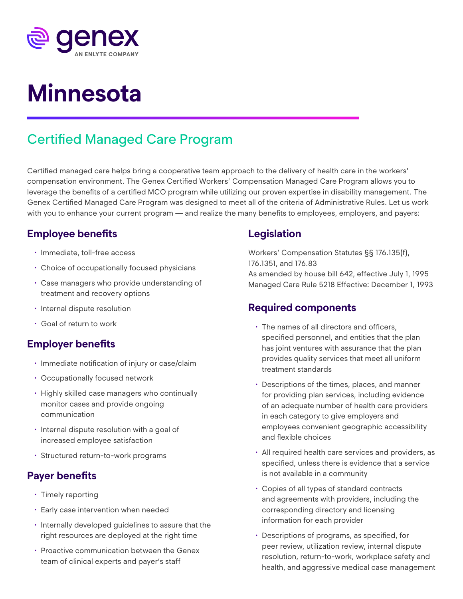

# **Minnesota**

# Certified Managed Care Program

Certified managed care helps bring a cooperative team approach to the delivery of health care in the workers' compensation environment. The Genex Certified Workers' Compensation Managed Care Program allows you to leverage the benefits of a certified MCO program while utilizing our proven expertise in disability management. The Genex Certified Managed Care Program was designed to meet all of the criteria of Administrative Rules. Let us work with you to enhance your current program — and realize the many benefits to employees, employers, and payers:

### **Employee benefits**

- Immediate, toll-free access
- Choice of occupationally focused physicians
- Case managers who provide understanding of treatment and recovery options
- Internal dispute resolution
- Goal of return to work

#### **Employer benefits**

- Immediate notification of injury or case/claim
- Occupationally focused network
- Highly skilled case managers who continually monitor cases and provide ongoing communication
- Internal dispute resolution with a goal of increased employee satisfaction
- Structured return-to-work programs

# **Payer benefits**

- Timely reporting
- Early case intervention when needed
- Internally developed guidelines to assure that the right resources are deployed at the right time
- Proactive communication between the Genex team of clinical experts and payer's staff

# **Legislation**

Workers' Compensation Statutes §§ 176.135(f), 176.1351, and 176.83 As amended by house bill 642, effective July 1, 1995 Managed Care Rule 5218 Effective: December 1, 1993

## **Required components**

- The names of all directors and officers, specified personnel, and entities that the plan has joint ventures with assurance that the plan provides quality services that meet all uniform treatment standards
- Descriptions of the times, places, and manner for providing plan services, including evidence of an adequate number of health care providers in each category to give employers and employees convenient geographic accessibility and flexible choices
- All required health care services and providers, as specified, unless there is evidence that a service is not available in a community
- Copies of all types of standard contracts and agreements with providers, including the corresponding directory and licensing information for each provider
- Descriptions of programs, as specified, for peer review, utilization review, internal dispute resolution, return-to-work, workplace safety and health, and aggressive medical case management